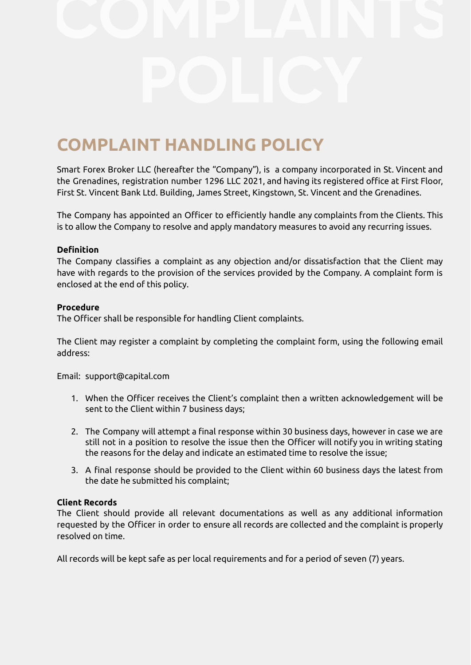# **COMPLAINT HANDLING POLICY**

Smart Forex Broker LLC (hereafter the "Company"), is a company incorporated in St. Vincent and the Grenadines, registration number 1296 LLC 2021, and having its registered office at First Floor, First St. Vincent Ваnk Ltd. Building, James Street, Kingstown, St. Vincent and the Grenadines.

The Company has appointed an Officer to efficiently handle any complaints from the Clients. This is to allow the Company to resolve and apply mandatory measures to avoid any recurring issues.

# **Definition**

The Company classifies a complaint as any objection and/or dissatisfaction that the Client may have with regards to the provision of the services provided by the Company. A complaint form is enclosed at the end of this policy.

## **Procedure**

The Officer shall be responsible for handling Client complaints.

The Client may register a complaint by completing the complaint form, using the following email address:

Email: support@capital.com

- 1. When the Officer receives the Client's complaint then a written acknowledgement will be sent to the Client within 7 business days;
- 2. The Company will attempt a final response within 30 business days, however in case we are still not in a position to resolve the issue then the Officer will notify you in writing stating the reasons for the delay and indicate an estimated time to resolve the issue;
- 3. A final response should be provided to the Client within 60 business days the latest from the date he submitted his complaint;

# **Client Records**

The Client should provide all relevant documentations as well as any additional information requested by the Officer in order to ensure all records are collected and the complaint is properly resolved on time.

All records will be kept safe as per local requirements and for a period of seven (7) years.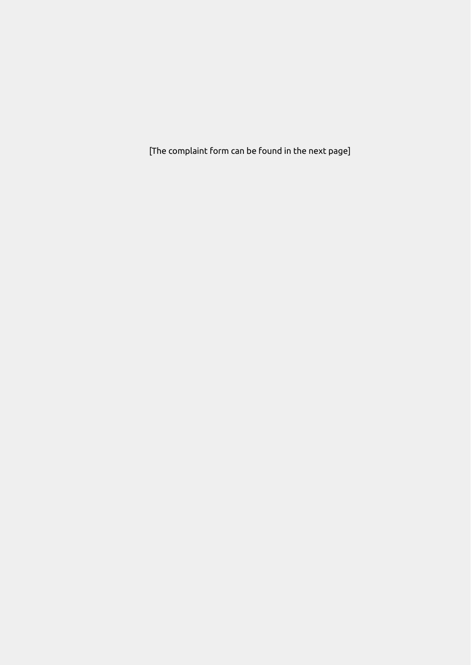[The complaint form can be found in the next page]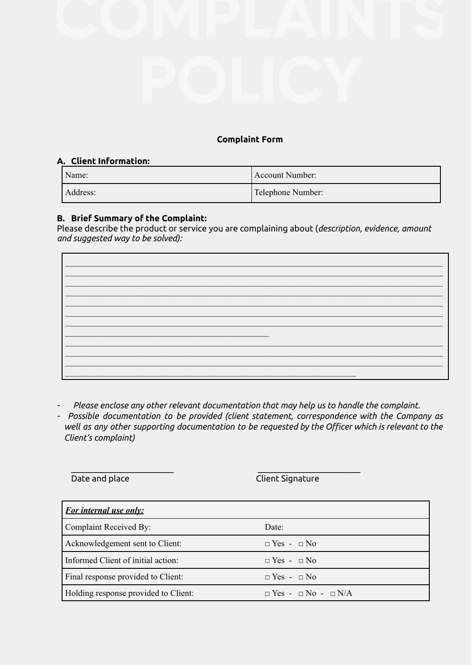# **Complaint Form**

## **A. Client Information:**

| Name:    | Account Number:   |
|----------|-------------------|
| Address: | Telephone Number: |

# **B. Brief Summary of the Complaint:**

Please describe the product or service you are complaining about (*description, evidence, amount and suggested way to be solved):*



*- Please enclose any other relevant documentation that may help us to handle the complaint.*

\_\_\_\_\_\_\_\_\_\_\_\_\_\_\_\_\_\_\_\_\_\_\_\_ \_\_\_\_\_\_\_\_\_\_\_\_\_\_\_\_\_\_\_\_\_\_\_\_

*- Possible documentation to be provided (client statement, correspondence with the Company as well as any other supporting documentation to be requested by the Officer which is relevant to the Client's complaint)*

**Date and place Client Signature** 

| <b>For internal use only:</b>        |                                     |
|--------------------------------------|-------------------------------------|
| Complaint Received By:               | Date:                               |
| Acknowledgement sent to Client:      | $\Box$ Yes - $\Box$ No              |
| Informed Client of initial action:   | $\Box$ Yes - $\Box$ No              |
| Final response provided to Client:   | $\Box$ Yes - $\Box$ No              |
| Holding response provided to Client: | $\Box$ Yes - $\Box$ No - $\Box$ N/A |